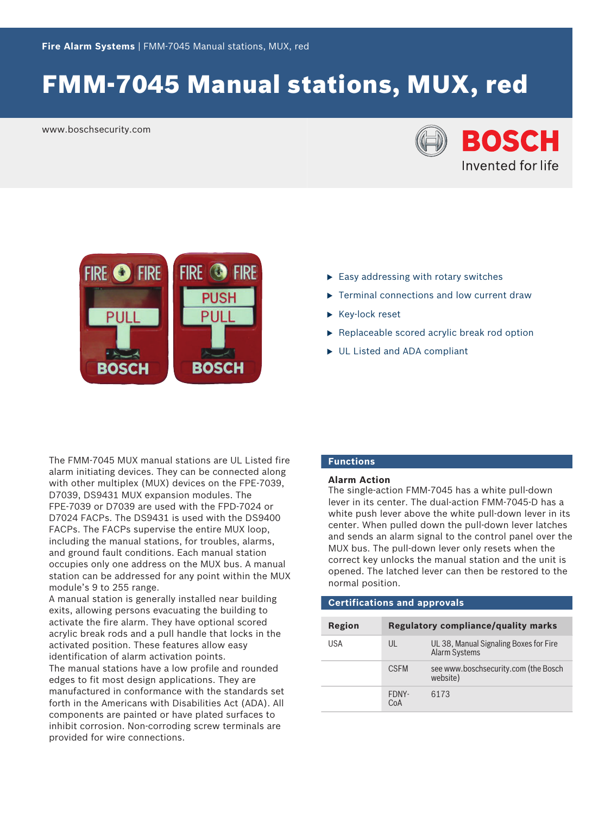# FMM‑7045 Manual stations, MUX, red

www.boschsecurity.com





- $\blacktriangleright$  Easy addressing with rotary switches
- $\blacktriangleright$  Terminal connections and low current draw
- $\blacktriangleright$  Key-lock reset
- $\blacktriangleright$  Replaceable scored acrylic break rod option
- $\triangleright$  UL Listed and ADA compliant

The FMM‑7045 MUX manual stations are UL Listed fire alarm initiating devices. They can be connected along with other multiplex (MUX) devices on the FPE-7039, D7039, DS9431 MUX expansion modules. The FPE-7039 or D7039 are used with the FPD‑7024 or D7024 FACPs. The DS9431 is used with the DS9400 FACPs. The FACPs supervise the entire MUX loop, including the manual stations, for troubles, alarms, and ground fault conditions. Each manual station occupies only one address on the MUX bus. A manual station can be addressed for any point within the MUX module's 9 to 255 range.

A manual station is generally installed near building exits, allowing persons evacuating the building to activate the fire alarm. They have optional scored acrylic break rods and a pull handle that locks in the activated position. These features allow easy identification of alarm activation points.

The manual stations have a low profile and rounded edges to fit most design applications. They are manufactured in conformance with the standards set forth in the Americans with Disabilities Act (ADA). All components are painted or have plated surfaces to inhibit corrosion. Non-corroding screw terminals are provided for wire connections.

## **Functions**

## **Alarm Action**

The single-action FMM-7045 has a white pull-down lever in its center. The dual-action FMM-7045-D has a white push lever above the white pull-down lever in its center. When pulled down the pull-down lever latches and sends an alarm signal to the control panel over the MUX bus. The pull-down lever only resets when the correct key unlocks the manual station and the unit is opened. The latched lever can then be restored to the normal position.

## **Certifications and approvals Region Regulatory compliance/quality marks** USA UL UL UL 38, Manual Signaling Boxes for Fire Alarm Systems CSFM see www.boschsecurity.com (the Bosch website) FDNY-CoA 6173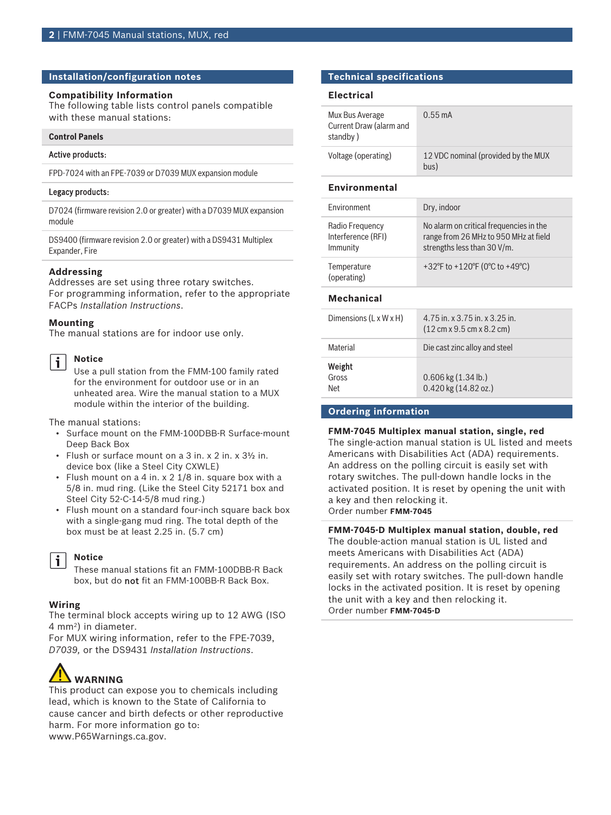## **Installation/configuration notes**

## **Compatibility Information**

The following table lists control panels compatible with these manual stations:

## **Control Panels**

## Active products:

FPD-7024 with an FPE-7039 or D7039 MUX expansion module

## Legacy products:

D7024 (firmware revision 2.0 or greater) with a D7039 MUX expansion module

DS9400 (firmware revision 2.0 or greater) with a DS9431 Multiplex Expander, Fire

## **Addressing**

Addresses are set using three rotary switches. For programming information, refer to the appropriate FACPs *Installation Instructions*.

### **Mounting**

The manual stations are for indoor use only.

#### **Notice** j.

Use a pull station from the FMM‑100 family rated for the environment for outdoor use or in an unheated area. Wire the manual station to a MUX module within the interior of the building.

The manual stations:

- Surface mount on the FMM-100DBB-R Surface-mount Deep Back Box
- Flush or surface mount on a 3 in. x 2 in. x 3½ in. device box (like a Steel City CXWLE)
- Flush mount on a 4 in.  $x$  2 1/8 in. square box with a 5/8 in. mud ring. (Like the Steel City 52171 box and Steel City 52-C-14-5/8 mud ring.)
- Flush mount on a standard four-inch square back box with a single‑gang mud ring. The total depth of the box must be at least 2.25 in. (5.7 cm)

### **Notice** i

These manual stations fit an FMM-100DBB-R Back box, but do not fit an FMM-100BB-R Back Box.

## **Wiring**

The terminal block accepts wiring up to 12 AWG (ISO 4 mm<sup>2</sup> ) in diameter.

For MUX wiring information, refer to the FPE-7039, *D7039,* or the DS9431 *Installation Instructions*.

## **WARNING**

This product can expose you to chemicals including lead, which is known to the State of California to cause cancer and birth defects or other reproductive harm. For more information go to: [www.P65Warnings.ca.gov.](http://www.P65Warnings.ca.gov)

## **Technical specifications**

## **Electrical**

| Mux Bus Average<br>Current Draw (alarm and<br>standby) | $0.55 \text{ mA}$                           |
|--------------------------------------------------------|---------------------------------------------|
| Voltage (operating)                                    | 12 VDC nominal (provided by the MUX<br>bus) |

## **Environmental**

| <b>Fnvironment</b>                                | Dry, indoor                                                                                                     |  |
|---------------------------------------------------|-----------------------------------------------------------------------------------------------------------------|--|
| Radio Frequency<br>Interference (RFI)<br>Immunity | No alarm on critical frequencies in the<br>range from 26 MHz to 950 MHz at field<br>strengths less than 30 V/m. |  |
| Temperature<br>(operating)                        | +32°F to +120°F (0°C to +49°C)                                                                                  |  |
| <b>Mechanical</b>                                 |                                                                                                                 |  |
| Dimensions $(L \times W \times H)$                | 4.75 in. x 3.75 in. x 3.25 in.<br>$(12 \text{ cm} \times 9.5 \text{ cm} \times 8.2 \text{ cm})$                 |  |
| Material                                          | Die cast zinc alloy and steel                                                                                   |  |

| Weight |                          |
|--------|--------------------------|
| Gross  | $0.606$ kg $(1.34$ lb.)  |
| Net    | $0.420$ kg $(14.82$ oz.) |

## **Ordering information**

**FMM-7045 Multiplex manual station, single, red** The single-action manual station is UL listed and meets Americans with Disabilities Act (ADA) requirements. An address on the polling circuit is easily set with rotary switches. The pull-down handle locks in the activated position. It is reset by opening the unit with a key and then relocking it. Order number **FMM-7045**

**FMM-7045-D Multiplex manual station, double, red** The double‑action manual station is UL listed and meets Americans with Disabilities Act (ADA) requirements. An address on the polling circuit is easily set with rotary switches. The pull-down handle locks in the activated position. It is reset by opening the unit with a key and then relocking it. Order number **FMM-7045-D**